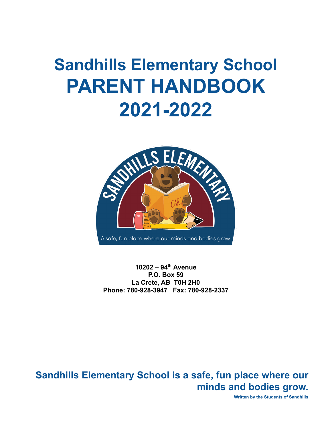# **Sandhills Elementary School PARENT HANDBOOK 2021-2022**



**10202 – 94th Avenue P.O. Box 59 La Crete, AB T0H 2H0 Phone: 780-928-3947 Fax: 780-928-2337**

**Sandhills Elementary School is a safe, fun place where our minds and bodies grow.**

**Written by the Students of Sandhills**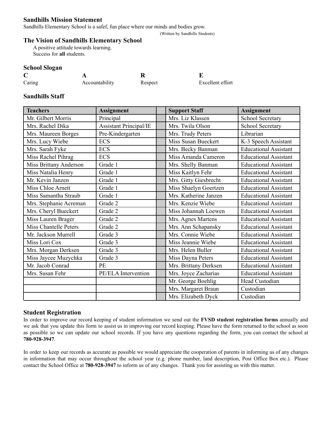#### **Sandhills Mission Statement**

Sandhills Elementary School is a safef, fun place where our minds and bodies grow.

#### (Written by Sandhills Students)

# **The Vision of Sandhills Elementary School**

A positive attitude towards learning. Success for **all** students.

#### **School Slogan**

| $\mathbf C$ |                |         |                  |
|-------------|----------------|---------|------------------|
| Caring      | Accountability | Respect | Excellent effort |

## **Sandhills Staff**

| <b>Teachers</b>        | <b>Assignment</b>             | <b>Support Staff</b>  | <b>Assignment</b>            |
|------------------------|-------------------------------|-----------------------|------------------------------|
| Mr. Gilbert Morris     | Principal                     | Mrs. Liz Klassen      | School Secretary             |
| Mrs. Rachel Dika       | <b>Assistant Principal/IE</b> | Mrs. Twila Olson      | School Secretary             |
| Mrs. Maureen Borges    | Pre-Kindergarten              | Mrs. Trudy Peters     | Librarian                    |
| Mrs. Lucy Wiebe        | <b>ECS</b>                    | Miss Susan Bueckert   | K-3 Speech Assistant         |
| Mrs. Sarah Fyke        | <b>ECS</b>                    | Mrs. Becky Banman     | <b>Educational Assistant</b> |
| Miss Rachel Pihrag     | <b>ECS</b>                    | Miss Amanda Cameron   | <b>Educational Assistant</b> |
| Miss Brittany Anderson | Grade 1                       | Mrs. Shelly Banman    | <b>Educational Assistant</b> |
| Miss Natalia Henry     | Grade 1                       | Miss Kaitlyn Fehr     | <b>Educational Assistant</b> |
| Mr. Kevin Janzen       | Grade 1                       | Mrs. Gitty Giesbrecht | <b>Educational Assistant</b> |
| Miss Chloe Arnett      | Grade 1                       | Miss Shaelyn Goertzen | <b>Educational Assistant</b> |
| Miss Samantha Straub   | Grade 1                       | Mrs. Katherine Janzen | <b>Educational Assistant</b> |
| Mrs. Stephanie Acreman | Grade 2                       | Mrs. Kenzie Wiebe     | <b>Educational Assistant</b> |
| Mrs. Cheryl Bueckert   | Grade 2                       | Miss Johannah Loewen  | <b>Educational Assistant</b> |
| Miss Lauren Brager     | Grade 2                       | Mrs. Agnes Martens    | <b>Educational Assistant</b> |
| Miss Chantelle Peters  | Grade 2                       | Mrs. Ann Schapansky   | <b>Educational Assistant</b> |
| Mr. Jackson Murrell    | Grade 3                       | Mrs. Connie Wiebe     | <b>Educational Assistant</b> |
| Miss Lori Cox          | Grade 3                       | Miss Jeannie Wiebe    | <b>Educational Assistant</b> |
| Mrs. Morgan Derksen    | Grade 3                       | Mrs. Helen Buller     | <b>Educational Assistant</b> |
| Miss Jaycee Muzychka   | Grade 3                       | Miss Dayna Peters     | <b>Educational Assistant</b> |
| Mr. Jacob Conrad       | PE                            | Mrs. Brittany Derksen | <b>Educational Assistant</b> |
| Mrs. Susan Fehr        | PE/ELA Intervention           | Mrs. Joyce Zacharias  | <b>Educational Assistant</b> |
|                        |                               | Mr. George Boehlig    | Head Custodian               |
|                        |                               | Mrs. Margaret Braun   | Custodian                    |
|                        |                               | Mrs. Elizabeth Dyck   | Custodian                    |

# **Student Registration**

In order to improve our record keeping of student information we send out the **FVSD student registration forms** annually and we ask that you update this form to assist us in improving our record keeping. Please have the form returned to the school as soon as possible so we can update our school records. If you have any questions regarding the form, you can contact the school at **780-928-3947**.

In order to keep our records as accurate as possible we would appreciate the cooperation of parents in informing us of any changes in information that may occur throughout the school year (e.g. phone number, land description, Post Office Box etc.). Please contact the School Office at **780-928-3947** to inform us of any changes. Thank you for assisting us with this matter.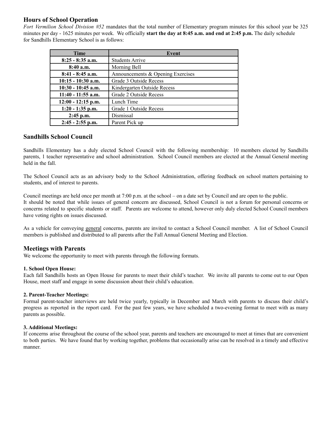# **Hours of School Operation**

*Fort Vermilion School Division #52* mandates that the total number of Elementary program minutes for this school year be 325 minutes per day - 1625 minutes per week. We officially **start the day at 8:45 a.m. and end at 2:45 p.m.** The daily schedule for Sandhills Elementary School is as follows:

| <b>Time</b>          | Event                             |  |
|----------------------|-----------------------------------|--|
| $8:25 - 8:35$ a.m.   | <b>Students Arrive</b>            |  |
| $8:40$ a.m.          | Morning Bell                      |  |
| $8:41 - 8:45$ a.m.   | Announcements & Opening Exercises |  |
| $10:15 - 10:30$ a.m. | Grade 3 Outside Recess            |  |
| $10:30 - 10:45$ a.m. | Kindergarten Outside Recess       |  |
| $11:40 - 11:55$ a.m. | Grade 2 Outside Recess            |  |
| $12:00 - 12:15$ p.m. | Lunch Time                        |  |
| $1:20 - 1:35$ p.m.   | Grade 1 Outside Recess            |  |
| $2:45$ p.m.          | Dismissal                         |  |
| $2:45 - 2:55$ p.m.   | Parent Pick up                    |  |

#### **Sandhills School Council**

Sandhills Elementary has a duly elected School Council with the following membership: 10 members elected by Sandhills parents, 1 teacher representative and school administration. School Council members are elected at the Annual General meeting held in the fall.

The School Council acts as an advisory body to the School Administration, offering feedback on school matters pertaining to students, and of interest to parents.

Council meetings are held once per month at 7:00 p.m. at the school – on a date set by Council and are open to the public. It should be noted that while issues of general concern are discussed, School Council is not a forum for personal concerns or concerns related to specific students or staff. Parents are welcome to attend, however only duly elected School Council members have voting rights on issues discussed.

As a vehicle for conveying general concerns, parents are invited to contact a School Council member. A list of School Council members is published and distributed to all parents after the Fall Annual General Meeting and Election.

#### **Meetings with Parents**

We welcome the opportunity to meet with parents through the following formats.

#### **1. School Open House:**

Each fall Sandhills hosts an Open House for parents to meet their child's teacher. We invite all parents to come out to our Open House, meet staff and engage in some discussion about their child's education.

#### **2. Parent-Teacher Meetings:**

Formal parent-teacher interviews are held twice yearly, typically in December and March with parents to discuss their child's progress as reported in the report card. For the past few years, we have scheduled a two-evening format to meet with as many parents as possible.

#### **3. Additional Meetings:**

If concerns arise throughout the course of the school year, parents and teachers are encouraged to meet at times that are convenient to both parties. We have found that by working together, problems that occasionally arise can be resolved in a timely and effective manner.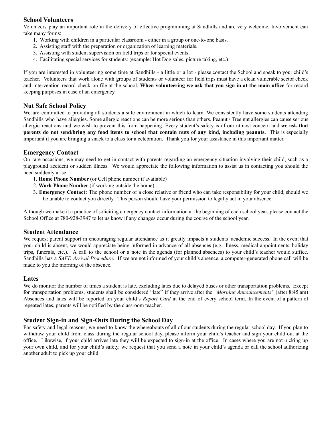# **School Volunteers**

Volunteers play an important role in the delivery of effective programming at Sandhills and are very welcome. Involvement can take many forms:

- 1. Working with children in a particular classroom either in a group or one-to-one basis.
- 2. Assisting staff with the preparation or organization of learning materials.
- 3. Assisting with student supervision on field trips or for special events.
- 4. Facilitating special services for students: (example: Hot Dog sales, picture taking, etc.)

If you are interested in volunteering some time at Sandhills - a little or a lot - please contact the School and speak to your child's teacher. Volunteers that work alone with groups of students or volunteer for field trips must have a clean vulnerable sector check and intervention record check on file at the school. **When volunteering we ask that you sign in at the main office** for record keeping purposes in case of an emergency.

#### **Nut Safe School Policy**

We are committed to providing all students a safe environment in which to learn. We consistently have some students attending Sandhills who have allergies. Some allergic reactions can be more serious than others. Peanut / Tree nut allergies can cause serious allergic reactions and we wish to prevent this from happening. Every student's safety is of our utmost concern and **we ask that** parents do not send/bring any food items to school that contain nuts of any kind, including peanuts. This is especially important if you are bringing a snack to a class for a celebration. Thank you for your assistance in this important matter.

#### **Emergency Contact**

On rare occasions, we may need to get in contact with parents regarding an emergency situation involving their child, such as a playground accident or sudden illness. We would appreciate the following information to assist us in contacting you should the need suddenly arise:

- 1. **Home Phone Number** (or Cell phone number if available)
- 2. **Work Phone Number** (if working outside the home)
- 3. **Emergency Contact:** The phone number of a close relative or friend who can take responsibility for your child, should we be unable to contact you directly. This person should have your permission to legally act in your absence.

Although we make it a practice of soliciting emergency contact information at the beginning of each school year, please contact the School Office at 780-928-3947 to let us know if any changes occur during the course of the school year.

#### **Student Attendance**

We request parent support in encouraging regular attendance as it greatly impacts a students' academic success. In the event that your child is absent, we would appreciate being informed in advance of all absences (e.g. illness, medical appointments, holiday trips, funerals, etc.). A call to the school or a note in the agenda (for planned absences) to your child's teacher would suffice. Sandhills has a *SAFE Arrival Procedure*. If we are not informed of your child's absence, a computer-generated phone call will be made to you the morning of the absence.

#### **Lates**

We do monitor the number of times a student is late, excluding lates due to delayed buses or other transportation problems. Except for transportation problems, students shall be considered "late" if they arrive after the *"Morning Announcements"* (after 8:45 am) Absences and lates will be reported on your child's *Report Card* at the end of every school term. In the event of a pattern of repeated lates, parents will be notified by the classroom teacher.

#### **Student Sign-in and Sign-Outs During the School Day**

For safety and legal reasons, we need to know the whereabouts of all of our students during the regular school day. If you plan to withdraw your child from class during the regular school day, please inform your child's teacher and sign your child out at the office. Likewise, if your child arrives late they will be expected to sign-in at the office. In cases where you are not picking up your own child, and for your child's safety, we request that you send a note in your child's agenda or call the school authorizing another adult to pick up your child.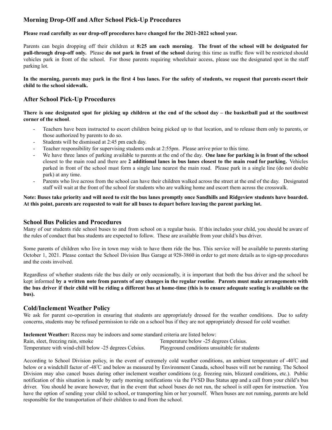# **Morning Drop-Off and After School Pick-Up Procedures**

#### **Please read carefully as our drop-off procedures have changed for the 2021-2022 school year.**

Parents can begin dropping off their children at **8:25 am each morning**. **The front of the school will be designated for pull-through drop-off only.** Please **do not park in front of the school** during this time as traffic flow will be restricted should vehicles park in front of the school. For those parents requiring wheelchair access, please use the designated spot in the staff parking lot.

#### In the morning, parents may park in the first 4 bus lanes. For the safety of students, we request that parents escort their **child to the school sidewalk.**

## **After School Pick-Up Procedures**

There is one designated spot for picking up children at the end of the school day – the basketball pad at the southwest **corner of the school**.

- Teachers have been instructed to escort children being picked up to that location, and to release them only to parents, or those authorized by parents to do so.
- Students will be dismissed at 2:45 pm each day.
- Teacher responsibility for supervising students ends at 2:55pm. Please arrive prior to this time.
- We have three lanes of parking available to parents at the end of the day. **One lane for parking is in front of the school** closest to the main road and there are **2 additional lanes in bus lanes closest to the main road for parking.** Vehicles parked in front of the school must form a single lane nearest the main road. Please park in a single line (do not double park) at any time.
- Parents who live across from the school can have their children walked across the street at the end of the day. Designated staff will wait at the front of the school for students who are walking home and escort them across the crosswalk.

#### Note: Buses take priority and will need to exit the bus lanes promptly once Sandhills and Ridgeview students have boarded. At this point, parents are requested to wait for all buses to depart before leaving the parent parking lot.

#### **School Bus Policies and Procedures**

Many of our students ride school buses to and from school on a regular basis. If this includes your child, you should be aware of the rules of conduct that bus students are expected to follow. These are available from your child's bus driver.

Some parents of children who live in town may wish to have them ride the bus. This service will be available to parents starting October 1, 2021. Please contact the School Division Bus Garage at 928-3860 in order to get more details as to sign-up procedures and the costs involved.

Regardless of whether students ride the bus daily or only occasionally, it is important that both the bus driver and the school be kept informed by a written note from parents of any changes in the regular routine. Parents must make arrangements with the bus driver if their child will be riding a different bus at home-time (this is to ensure adequate seating is available on the **bus).**

#### **Cold/Inclement Weather Policy**

We ask for parent co-operation in ensuring that students are appropriately dressed for the weather conditions. Due to safety concerns, students may be refused permission to ride on a school bus if they are not appropriately dressed for cold weather.

**Inclement Weather:** Recess may be indoors and some standard criteria are listed below: Rain, sleet, freezing rain, smoke Temperature below -25 degrees Celsius. Temperature with wind-chill below -25 degrees Celsius. Playground conditions unsuitable for students

According to School Division policy, in the event of extremely cold weather conditions, an ambient temperature of -40℃ and below or a windchill factor of -48℃ and below as measured by Environment Canada, school buses will not be running. The School Division may also cancel buses during other inclement weather conditions (e.g. freezing rain, blizzard conditions, etc.). Public notification of this situation is made by early morning notifications via the FVSD Bus Status app and a call from your child's bus driver. You should be aware however, that in the event that school buses do not run, the school is still open for instruction. You have the option of sending your child to school, or transporting him or her yourself. When buses are not running, parents are held responsible for the transportation of their children to and from the school.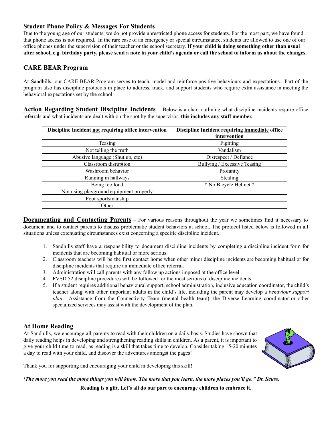# **Student Phone Policy & Messages For Students**

Due to the young age of our students, we do not provide unrestricted phone access for students. For the most part, we have found that phone access is not required. In the rare case of an emergency or special circumstance, students are allowed to use one of our office phones under the supervision of their teacher or the school secretary. **If your child is doing something other than usual** after school, e.g. birthday party, please send a note in your child's agenda or call the school to inform us about the changes.

# **CARE BEAR Program**

At Sandhills, our CARE BEAR Program serves to teach, model and reinforce positive behaviours and expectations. Part of the program also has discipline protocols in place to address, track, and support students who require extra assistance in meeting the behavioral expectations set by the school.

**Action Regarding Student Discipline Incidents** – Below is a chart outlining what discipline incidents require office referrals and what incidents are dealt with on the spot by the supervisor; **this includes any staff member.**

| Discipline Incident not requiring office intervention | Discipline Incident requiring immediate office |  |
|-------------------------------------------------------|------------------------------------------------|--|
|                                                       | intervention                                   |  |
| Teasing                                               | Fighting                                       |  |
| Not telling the truth                                 | Vandalism                                      |  |
| Abusive language (Shut up, etc)                       | Disrespect / Defiance                          |  |
| Classroom disruption                                  | Bullying / Excessive Teasing                   |  |
| Washroom behavior                                     | Profanity                                      |  |
| Running in hallways                                   | Stealing                                       |  |
| Being too loud                                        | * No Bicycle Helmet *                          |  |
| Not using playground equipment properly               |                                                |  |
| Poor sportsmanship                                    |                                                |  |
| Other                                                 |                                                |  |

**Documenting and Contacting Parents** – For various reasons throughout the year we sometimes find it necessary to document and to contact parents to discuss problematic student behaviors at school. The protocol listed below is followed in all situations unless extenuating circumstances exist concerning a specific discipline incident.

- 1. Sandhills staff have a responsibility to document discipline incidents by completing a discipline incident form for incidents that are becoming habitual or more serious.
- 2. Classroom teachers will be the first contact home when other minor discipline incidents are becoming habitual or for discipline incidents that require an immediate office referral.
- 3. Administration will call parents with any follow up actions imposed at the office level.
- 4. FVSD 52 discipline procedures will be followed for the most serious of discipline incidents.
- 5. If a student requires additional behavioural support, school administration, inclusive education coordinator, the child's teacher along with other important adults in the child's life, including the parent may develop a *behaviour support plan*. Assistance from the Connectivity Team (mental health team), the Diverse Learning coordinator or other specialized services may assist with the development of the plan.

# **At Home Reading**

At Sandhills, we encourage all parents to read with their children on a daily basis. Studies have shown that daily reading helps in developing and strengthening reading skills in children. As a parent, it is important to give your child time to read, as reading is a skill that takes time to develop. Consider taking 15-20 minutes a day to read with your child, and discover the adventures amongst the pages!



Thank you for supporting and encouraging your child in developing this skill!

'The more you read the more things you will know. The more that you learn, the more places you'll go." Dr. Seuss.

**Reading is a gift. Let's all do our part to encourage children to embrace it.**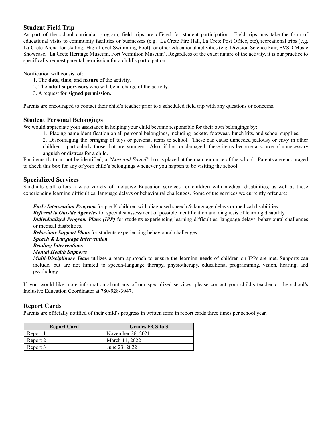# **Student Field Trip**

As part of the school curricular program, field trips are offered for student participation. Field trips may take the form of educational visits to community facilities or businesses (e.g. La Crete Fire Hall, La Crete Post Office, etc), recreational trips (e.g. La Crete Arena for skating, High Level Swimming Pool), or other educational activities (e.g. Division Science Fair, FVSD Music Showcase, La Crete Heritage Museum, Fort Vermilion Museum). Regardless of the exact nature of the activity, it is our practice to specifically request parental permission for a child's participation.

Notification will consist of:

- 1. The **date**, **time**, and **nature** of the activity.
- 2. The **adult supervisors** who will be in charge of the activity.
- 3. A request for **signed permission.**

Parents are encouraged to contact their child's teacher prior to a scheduled field trip with any questions or concerns.

#### **Student Personal Belongings**

We would appreciate your assistance in helping your child become responsible for their own belongings by:

1. Placing name identification on all personal belongings, including jackets, footwear, lunch kits, and school supplies.

2. Discouraging the bringing of toys or personal items to school. These can cause unneeded jealousy or envy in other children - particularly those that are younger. Also, if lost or damaged, these items become a source of unnecessary anguish or distress for a child.

For items that can not be identified, a *"Lost and Found"* box is placed at the main entrance of the school. Parents are encouraged to check this box for any of your child's belongings whenever you happen to be visiting the school.

#### **Specialized Services**

Sandhills staff offers a wide variety of Inclusive Education services for children with medical disabilities, as well as those experiencing learning difficulties, language delays or behavioural challenges. Some of the services we currently offer are:

*Early Intervention Program* for pre-K children with diagnosed speech & language delays or medical disabilities. *Referral to Outside Agencies* for specialist assessment of possible identification and diagnosis of learning disability. *Individualized Program Plans (IPP)* for students experiencing learning difficulties, language delays, behavioural challenges or medical disabilities.

*Behaviour Support Plans* for students experiencing behavioural challenges

- *Speech & Language Intervention*
- *Reading Interventions*
- *Mental Health Supports*

*Multi-Disciplinary Team* utilizes a team approach to ensure the learning needs of children on IPPs are met. Supports can include, but are not limited to speech-language therapy, physiotherapy, educational programming, vision, hearing, and psychology.

If you would like more information about any of our specialized services, please contact your child's teacher or the school's Inclusive Education Coordinator at 780-928-3947.

#### **Report Cards**

Parents are officially notified of their child's progress in written form in report cards three times per school year.

| <b>Report Card</b> | Grades ECS to 3   |
|--------------------|-------------------|
| Report 1           | November 26, 2021 |
| Report 2           | March 11, 2022    |
| Report 3           | June 23, 2022     |